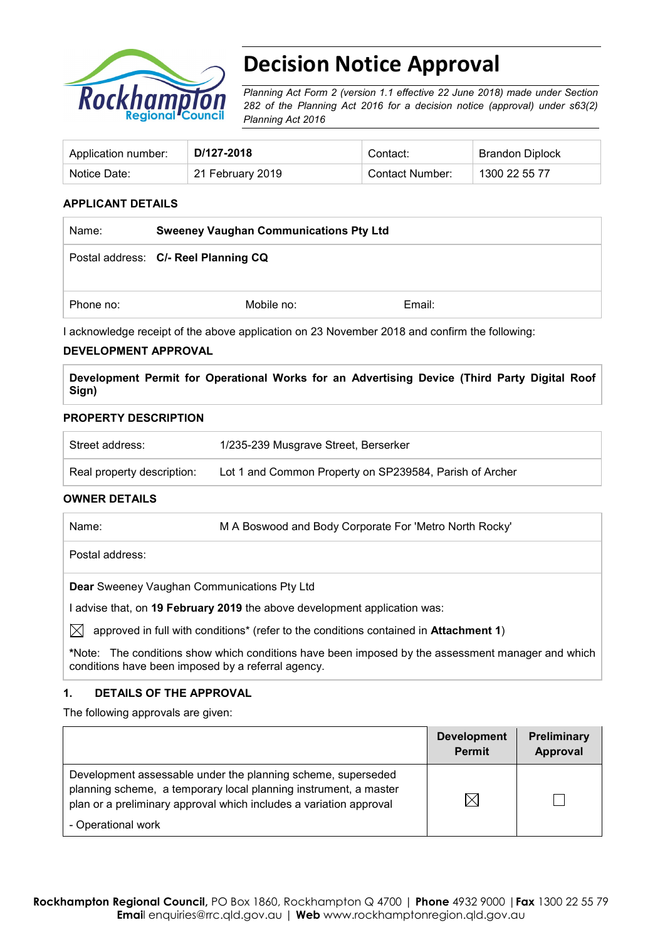

# **Decision Notice Approval**

*Planning Act Form 2 (version 1.1 effective 22 June 2018) made under Section 282 of the Planning Act 2016 for a decision notice (approval) under s63(2) Planning Act 2016*

| Application number: | D/127-2018       | Contact∵        | Brandon Diplock |
|---------------------|------------------|-----------------|-----------------|
| Notice Date:        | 21 February 2019 | Contact Number: | 1300 22 55 77   |

### **APPLICANT DETAILS**

| Name:     | <b>Sweeney Vaughan Communications Pty Ltd</b> |        |  |
|-----------|-----------------------------------------------|--------|--|
|           | Postal address: C/- Reel Planning CQ          |        |  |
| Phone no: | Mobile no:                                    | Email: |  |

I acknowledge receipt of the above application on 23 November 2018 and confirm the following:

#### **DEVELOPMENT APPROVAL**

**Development Permit for Operational Works for an Advertising Device (Third Party Digital Roof Sign)**

#### **PROPERTY DESCRIPTION**

| Street address:            | 1/235-239 Musgrave Street, Berserker                    |
|----------------------------|---------------------------------------------------------|
| Real property description: | Lot 1 and Common Property on SP239584, Parish of Archer |

#### **OWNER DETAILS**

| M A Boswood and Body Corporate For 'Metro North Rocky'<br>Name: |
|-----------------------------------------------------------------|
|-----------------------------------------------------------------|

Postal address:

**Dear** Sweeney Vaughan Communications Pty Ltd

I advise that, on **19 February 2019** the above development application was:

 $\boxtimes$  approved in full with conditions<sup>\*</sup> (refer to the conditions contained in Attachment 1)

**\***Note:The conditions show which conditions have been imposed by the assessment manager and which conditions have been imposed by a referral agency.

### **1. DETAILS OF THE APPROVAL**

The following approvals are given:

|                                                                                                                                                                                                        | <b>Development</b><br><b>Permit</b> | <b>Preliminary</b><br>Approval |
|--------------------------------------------------------------------------------------------------------------------------------------------------------------------------------------------------------|-------------------------------------|--------------------------------|
| Development assessable under the planning scheme, superseded<br>planning scheme, a temporary local planning instrument, a master<br>plan or a preliminary approval which includes a variation approval | $\boxtimes$                         |                                |
| - Operational work                                                                                                                                                                                     |                                     |                                |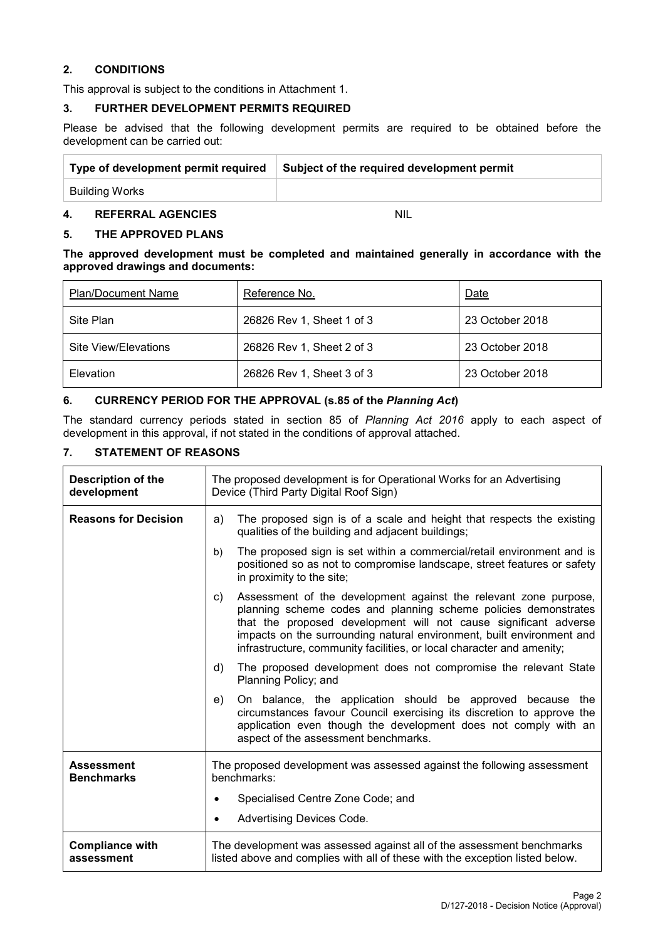#### **2. CONDITIONS**

This approval is subject to the conditions in Attachment 1.

#### **3. FURTHER DEVELOPMENT PERMITS REQUIRED**

Please be advised that the following development permits are required to be obtained before the development can be carried out:

| Type of development permit required | Subject of the required development permit |
|-------------------------------------|--------------------------------------------|
| Building Works                      |                                            |
|                                     |                                            |

# **4. REFERRAL AGENCIES** NIL

#### **5. THE APPROVED PLANS**

**The approved development must be completed and maintained generally in accordance with the approved drawings and documents:**

| <b>Plan/Document Name</b> | Reference No.             | Date            |
|---------------------------|---------------------------|-----------------|
| Site Plan                 | 26826 Rev 1, Sheet 1 of 3 | 23 October 2018 |
| Site View/Elevations      | 26826 Rev 1, Sheet 2 of 3 | 23 October 2018 |
| Elevation                 | 26826 Rev 1, Sheet 3 of 3 | 23 October 2018 |

## **6. CURRENCY PERIOD FOR THE APPROVAL (s.85 of the** *Planning Act***)**

The standard currency periods stated in section 85 of *Planning Act 2016* apply to each aspect of development in this approval, if not stated in the conditions of approval attached.

#### **7. STATEMENT OF REASONS**

| <b>Description of the</b><br>development | The proposed development is for Operational Works for an Advertising<br>Device (Third Party Digital Roof Sign)                                                                                                                                                                                                                                                  |  |
|------------------------------------------|-----------------------------------------------------------------------------------------------------------------------------------------------------------------------------------------------------------------------------------------------------------------------------------------------------------------------------------------------------------------|--|
| <b>Reasons for Decision</b>              | The proposed sign is of a scale and height that respects the existing<br>a)<br>qualities of the building and adjacent buildings;                                                                                                                                                                                                                                |  |
|                                          | The proposed sign is set within a commercial/retail environment and is<br>b)<br>positioned so as not to compromise landscape, street features or safety<br>in proximity to the site;                                                                                                                                                                            |  |
|                                          | Assessment of the development against the relevant zone purpose,<br>C)<br>planning scheme codes and planning scheme policies demonstrates<br>that the proposed development will not cause significant adverse<br>impacts on the surrounding natural environment, built environment and<br>infrastructure, community facilities, or local character and amenity; |  |
|                                          | The proposed development does not compromise the relevant State<br>d)<br>Planning Policy; and                                                                                                                                                                                                                                                                   |  |
|                                          | On balance, the application should be approved because the<br>e)<br>circumstances favour Council exercising its discretion to approve the<br>application even though the development does not comply with an<br>aspect of the assessment benchmarks.                                                                                                            |  |
| <b>Assessment</b><br><b>Benchmarks</b>   | The proposed development was assessed against the following assessment<br>benchmarks:                                                                                                                                                                                                                                                                           |  |
|                                          | Specialised Centre Zone Code; and                                                                                                                                                                                                                                                                                                                               |  |
|                                          | Advertising Devices Code.                                                                                                                                                                                                                                                                                                                                       |  |
| <b>Compliance with</b><br>assessment     | The development was assessed against all of the assessment benchmarks<br>listed above and complies with all of these with the exception listed below.                                                                                                                                                                                                           |  |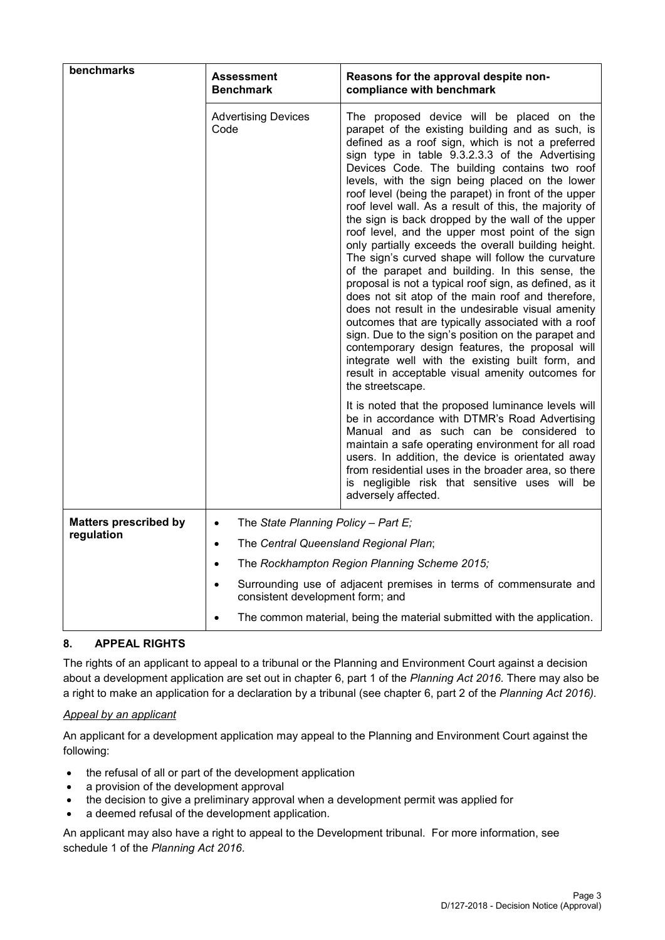| benchmarks                   | Assessment<br><b>Benchmark</b>                     | Reasons for the approval despite non-<br>compliance with benchmark                                                                                                                                                                                                                                                                                                                                                                                                                                                                                                                                                                                                                                                                                                                                                                                                                                                                                                                                                                                                                                                                                               |  |  |  |
|------------------------------|----------------------------------------------------|------------------------------------------------------------------------------------------------------------------------------------------------------------------------------------------------------------------------------------------------------------------------------------------------------------------------------------------------------------------------------------------------------------------------------------------------------------------------------------------------------------------------------------------------------------------------------------------------------------------------------------------------------------------------------------------------------------------------------------------------------------------------------------------------------------------------------------------------------------------------------------------------------------------------------------------------------------------------------------------------------------------------------------------------------------------------------------------------------------------------------------------------------------------|--|--|--|
|                              | <b>Advertising Devices</b><br>Code                 | The proposed device will be placed on the<br>parapet of the existing building and as such, is<br>defined as a roof sign, which is not a preferred<br>sign type in table 9.3.2.3.3 of the Advertising<br>Devices Code. The building contains two roof<br>levels, with the sign being placed on the lower<br>roof level (being the parapet) in front of the upper<br>roof level wall. As a result of this, the majority of<br>the sign is back dropped by the wall of the upper<br>roof level, and the upper most point of the sign<br>only partially exceeds the overall building height.<br>The sign's curved shape will follow the curvature<br>of the parapet and building. In this sense, the<br>proposal is not a typical roof sign, as defined, as it<br>does not sit atop of the main roof and therefore,<br>does not result in the undesirable visual amenity<br>outcomes that are typically associated with a roof<br>sign. Due to the sign's position on the parapet and<br>contemporary design features, the proposal will<br>integrate well with the existing built form, and<br>result in acceptable visual amenity outcomes for<br>the streetscape. |  |  |  |
|                              |                                                    | It is noted that the proposed luminance levels will<br>be in accordance with DTMR's Road Advertising<br>Manual and as such can be considered to<br>maintain a safe operating environment for all road<br>users. In addition, the device is orientated away<br>from residential uses in the broader area, so there<br>is negligible risk that sensitive uses will be<br>adversely affected.                                                                                                                                                                                                                                                                                                                                                                                                                                                                                                                                                                                                                                                                                                                                                                       |  |  |  |
| <b>Matters prescribed by</b> | The State Planning Policy - Part E;<br>$\bullet$   |                                                                                                                                                                                                                                                                                                                                                                                                                                                                                                                                                                                                                                                                                                                                                                                                                                                                                                                                                                                                                                                                                                                                                                  |  |  |  |
| regulation                   | The Central Queensland Regional Plan;<br>$\bullet$ |                                                                                                                                                                                                                                                                                                                                                                                                                                                                                                                                                                                                                                                                                                                                                                                                                                                                                                                                                                                                                                                                                                                                                                  |  |  |  |
|                              | $\bullet$                                          | The Rockhampton Region Planning Scheme 2015;                                                                                                                                                                                                                                                                                                                                                                                                                                                                                                                                                                                                                                                                                                                                                                                                                                                                                                                                                                                                                                                                                                                     |  |  |  |
|                              | $\bullet$                                          | Surrounding use of adjacent premises in terms of commensurate and<br>consistent development form; and                                                                                                                                                                                                                                                                                                                                                                                                                                                                                                                                                                                                                                                                                                                                                                                                                                                                                                                                                                                                                                                            |  |  |  |
|                              |                                                    | The common material, being the material submitted with the application.                                                                                                                                                                                                                                                                                                                                                                                                                                                                                                                                                                                                                                                                                                                                                                                                                                                                                                                                                                                                                                                                                          |  |  |  |

### **8. APPEAL RIGHTS**

The rights of an applicant to appeal to a tribunal or the Planning and Environment Court against a decision about a development application are set out in chapter 6, part 1 of the *Planning Act 2016*. There may also be a right to make an application for a declaration by a tribunal (see chapter 6, part 2 of the *Planning Act 2016).*

#### *Appeal by an applicant*

An applicant for a development application may appeal to the Planning and Environment Court against the following:

- the refusal of all or part of the development application
- a provision of the development approval
- the decision to give a preliminary approval when a development permit was applied for
- a deemed refusal of the development application.

An applicant may also have a right to appeal to the Development tribunal. For more information, see schedule 1 of the *Planning Act 2016*.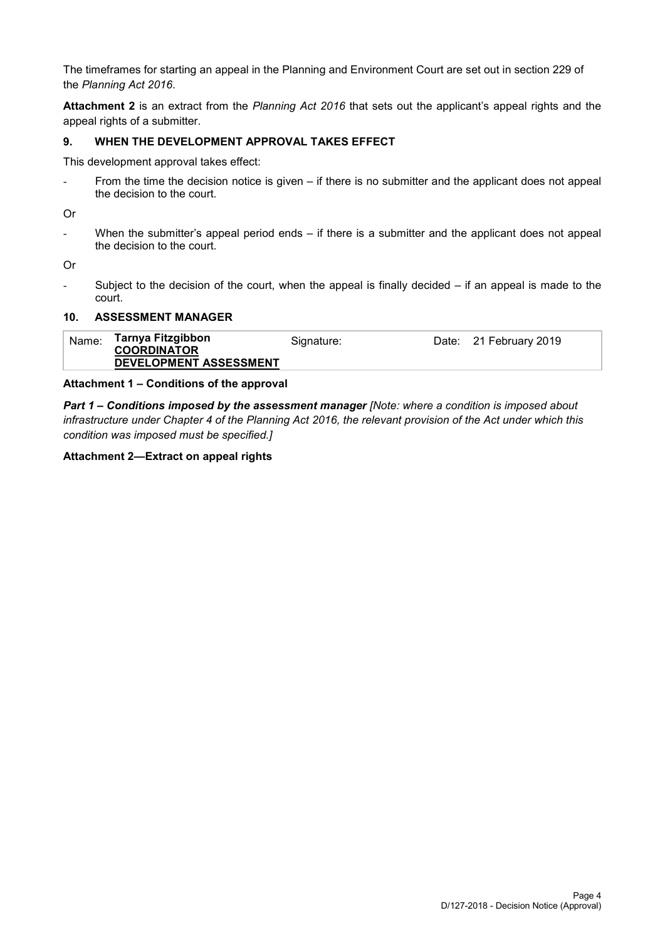The timeframes for starting an appeal in the Planning and Environment Court are set out in section 229 of the *Planning Act 2016*.

**Attachment 2** is an extract from the *Planning Act 2016* that sets out the applicant's appeal rights and the appeal rights of a submitter.

#### **9. WHEN THE DEVELOPMENT APPROVAL TAKES EFFECT**

This development approval takes effect:

- From the time the decision notice is given – if there is no submitter and the applicant does not appeal the decision to the court.

Or

- When the submitter's appeal period ends – if there is a submitter and the applicant does not appeal the decision to the court.

Or

Subject to the decision of the court, when the appeal is finally decided  $-$  if an appeal is made to the court.

#### **10. ASSESSMENT MANAGER**

| Name: | Tarnya Fitzgibbon<br><b>COORDINATOR</b> | Signature: | Date: 21 February 2019 |
|-------|-----------------------------------------|------------|------------------------|
|       | DEVELOPMENT ASSESSMENT                  |            |                        |

#### **Attachment 1 – Conditions of the approval**

*Part 1* **–** *Conditions imposed by the assessment manager [Note: where a condition is imposed about infrastructure under Chapter 4 of the Planning Act 2016, the relevant provision of the Act under which this condition was imposed must be specified.]*

#### **Attachment 2—Extract on appeal rights**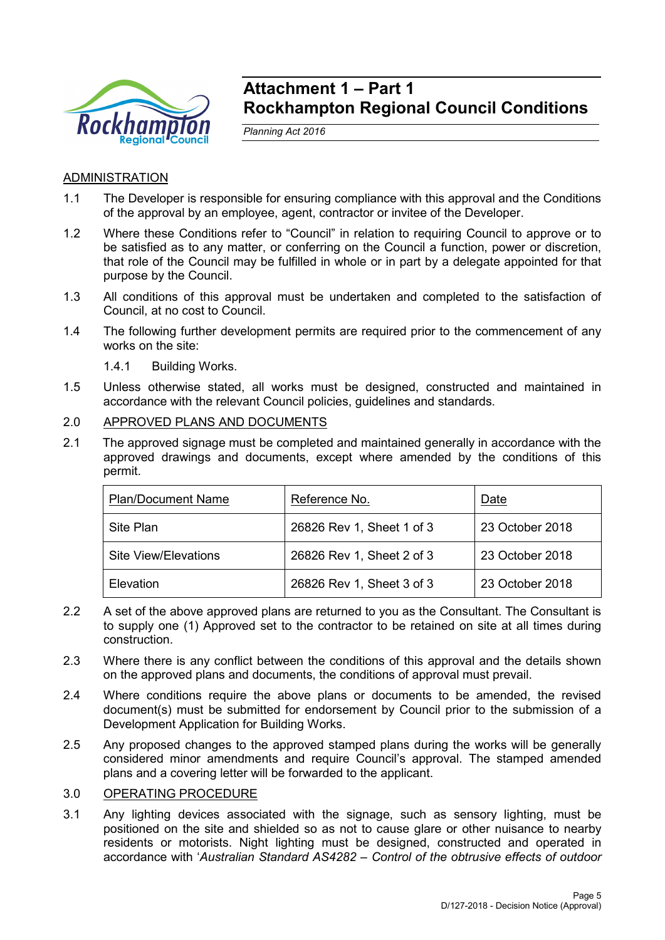

# **Attachment 1 – Part 1 Rockhampton Regional Council Conditions**

*Planning Act 2016*

# ADMINISTRATION

- 1.1 The Developer is responsible for ensuring compliance with this approval and the Conditions of the approval by an employee, agent, contractor or invitee of the Developer.
- 1.2 Where these Conditions refer to "Council" in relation to requiring Council to approve or to be satisfied as to any matter, or conferring on the Council a function, power or discretion, that role of the Council may be fulfilled in whole or in part by a delegate appointed for that purpose by the Council.
- 1.3 All conditions of this approval must be undertaken and completed to the satisfaction of Council, at no cost to Council.
- 1.4 The following further development permits are required prior to the commencement of any works on the site:

1.4.1 Building Works.

- 1.5 Unless otherwise stated, all works must be designed, constructed and maintained in accordance with the relevant Council policies, guidelines and standards.
- 2.0 APPROVED PLANS AND DOCUMENTS
- 2.1 The approved signage must be completed and maintained generally in accordance with the approved drawings and documents, except where amended by the conditions of this permit.

| <b>Plan/Document Name</b> | Reference No.             | Date            |
|---------------------------|---------------------------|-----------------|
| Site Plan                 | 26826 Rev 1, Sheet 1 of 3 | 23 October 2018 |
| Site View/Elevations      | 26826 Rev 1, Sheet 2 of 3 | 23 October 2018 |
| Elevation                 | 26826 Rev 1, Sheet 3 of 3 | 23 October 2018 |

- 2.2 A set of the above approved plans are returned to you as the Consultant. The Consultant is to supply one (1) Approved set to the contractor to be retained on site at all times during construction.
- 2.3 Where there is any conflict between the conditions of this approval and the details shown on the approved plans and documents, the conditions of approval must prevail.
- 2.4 Where conditions require the above plans or documents to be amended, the revised document(s) must be submitted for endorsement by Council prior to the submission of a Development Application for Building Works.
- 2.5 Any proposed changes to the approved stamped plans during the works will be generally considered minor amendments and require Council's approval. The stamped amended plans and a covering letter will be forwarded to the applicant.

### 3.0 OPERATING PROCEDURE

3.1 Any lighting devices associated with the signage, such as sensory lighting, must be positioned on the site and shielded so as not to cause glare or other nuisance to nearby residents or motorists. Night lighting must be designed, constructed and operated in accordance with '*Australian Standard AS4282 – Control of the obtrusive effects of outdoor*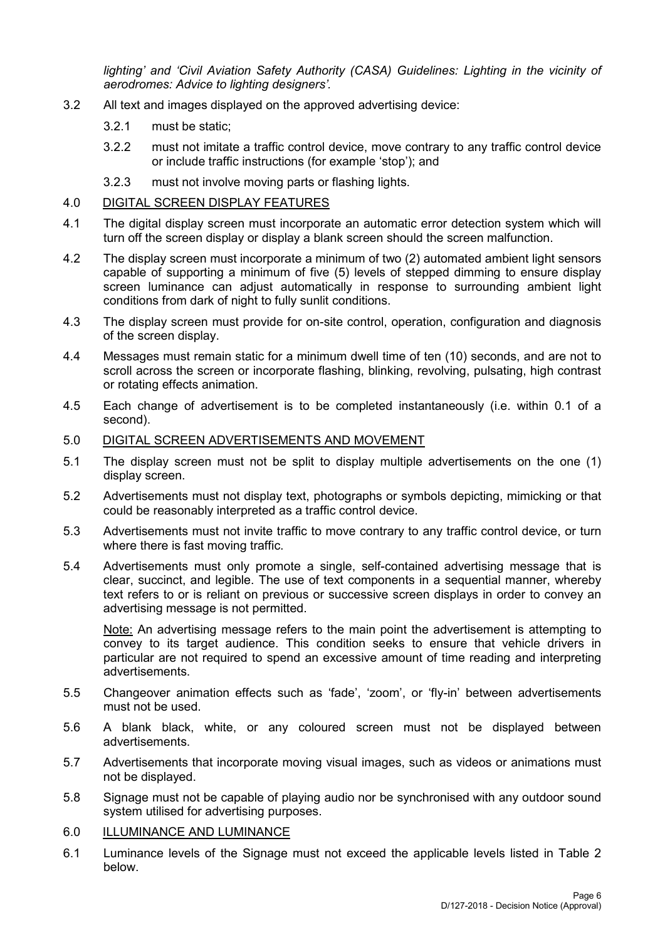*lighting' and 'Civil Aviation Safety Authority (CASA) Guidelines: Lighting in the vicinity of aerodromes: Advice to lighting designers'.*

- 3.2 All text and images displayed on the approved advertising device:
	- 3.2.1 must be static;
	- 3.2.2 must not imitate a traffic control device, move contrary to any traffic control device or include traffic instructions (for example 'stop'); and
	- 3.2.3 must not involve moving parts or flashing lights.

## 4.0 DIGITAL SCREEN DISPLAY FEATURES

- 4.1 The digital display screen must incorporate an automatic error detection system which will turn off the screen display or display a blank screen should the screen malfunction.
- 4.2 The display screen must incorporate a minimum of two (2) automated ambient light sensors capable of supporting a minimum of five (5) levels of stepped dimming to ensure display screen luminance can adjust automatically in response to surrounding ambient light conditions from dark of night to fully sunlit conditions.
- 4.3 The display screen must provide for on-site control, operation, configuration and diagnosis of the screen display.
- 4.4 Messages must remain static for a minimum dwell time of ten (10) seconds, and are not to scroll across the screen or incorporate flashing, blinking, revolving, pulsating, high contrast or rotating effects animation.
- 4.5 Each change of advertisement is to be completed instantaneously (i.e. within 0.1 of a second).

#### 5.0 DIGITAL SCREEN ADVERTISEMENTS AND MOVEMENT

- 5.1 The display screen must not be split to display multiple advertisements on the one (1) display screen.
- 5.2 Advertisements must not display text, photographs or symbols depicting, mimicking or that could be reasonably interpreted as a traffic control device.
- 5.3 Advertisements must not invite traffic to move contrary to any traffic control device, or turn where there is fast moving traffic.
- 5.4 Advertisements must only promote a single, self-contained advertising message that is clear, succinct, and legible. The use of text components in a sequential manner, whereby text refers to or is reliant on previous or successive screen displays in order to convey an advertising message is not permitted.

Note: An advertising message refers to the main point the advertisement is attempting to convey to its target audience. This condition seeks to ensure that vehicle drivers in particular are not required to spend an excessive amount of time reading and interpreting advertisements.

- 5.5 Changeover animation effects such as 'fade', 'zoom', or 'fly-in' between advertisements must not be used.
- 5.6 A blank black, white, or any coloured screen must not be displayed between advertisements.
- 5.7 Advertisements that incorporate moving visual images, such as videos or animations must not be displayed.
- 5.8 Signage must not be capable of playing audio nor be synchronised with any outdoor sound system utilised for advertising purposes.

### 6.0 ILLUMINANCE AND LUMINANCE

6.1 Luminance levels of the Signage must not exceed the applicable levels listed in Table 2 below.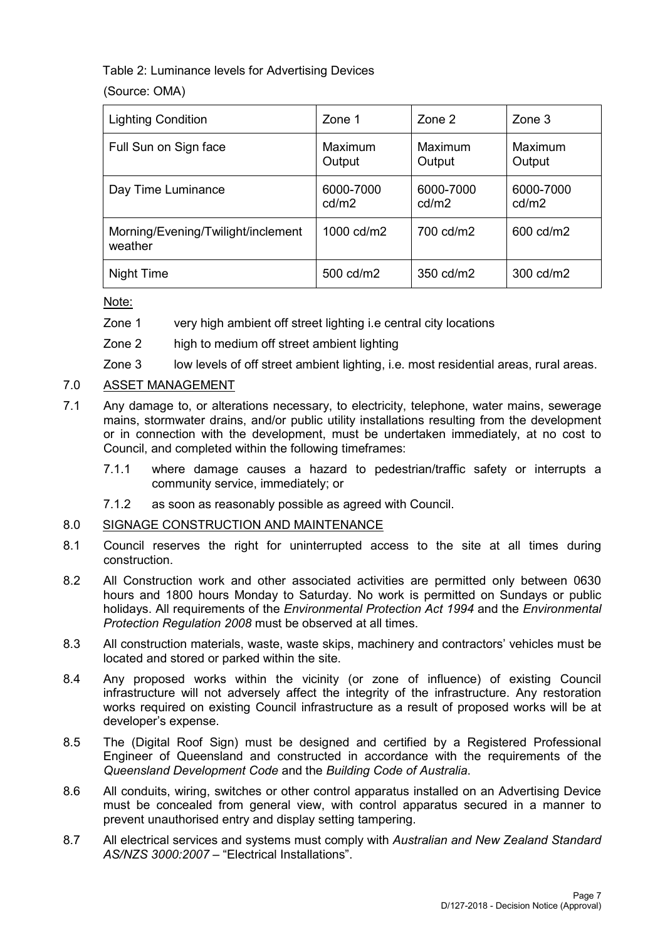Table 2: Luminance levels for Advertising Devices

(Source: OMA)

| <b>Lighting Condition</b>                     | Zone 1             | Zone 2             | $\mathsf{Zone}\,3$ |
|-----------------------------------------------|--------------------|--------------------|--------------------|
| Full Sun on Sign face                         | Maximum<br>Output  | Maximum<br>Output  | Maximum<br>Output  |
| Day Time Luminance                            | 6000-7000<br>cd/m2 | 6000-7000<br>cd/m2 | 6000-7000<br>cd/m2 |
| Morning/Evening/Twilight/inclement<br>weather | 1000 cd/m2         | 700 cd/m2          | 600 cd/m2          |
| Night Time                                    | 500 cd/m2          | 350 cd/m2          | 300 cd/m2          |

Note:

- Zone 1 very high ambient off street lighting i.e central city locations
- Zone 2 high to medium off street ambient lighting
- Zone 3 low levels of off street ambient lighting, i.e. most residential areas, rural areas.

# 7.0 ASSET MANAGEMENT

- 7.1 Any damage to, or alterations necessary, to electricity, telephone, water mains, sewerage mains, stormwater drains, and/or public utility installations resulting from the development or in connection with the development, must be undertaken immediately, at no cost to Council, and completed within the following timeframes:
	- 7.1.1 where damage causes a hazard to pedestrian/traffic safety or interrupts a community service, immediately; or
	- 7.1.2 as soon as reasonably possible as agreed with Council.

### 8.0 SIGNAGE CONSTRUCTION AND MAINTENANCE

- 8.1 Council reserves the right for uninterrupted access to the site at all times during construction.
- 8.2 All Construction work and other associated activities are permitted only between 0630 hours and 1800 hours Monday to Saturday. No work is permitted on Sundays or public holidays. All requirements of the *Environmental Protection Act 1994* and the *Environmental Protection Regulation 2008* must be observed at all times.
- 8.3 All construction materials, waste, waste skips, machinery and contractors' vehicles must be located and stored or parked within the site.
- 8.4 Any proposed works within the vicinity (or zone of influence) of existing Council infrastructure will not adversely affect the integrity of the infrastructure. Any restoration works required on existing Council infrastructure as a result of proposed works will be at developer's expense.
- 8.5 The (Digital Roof Sign) must be designed and certified by a Registered Professional Engineer of Queensland and constructed in accordance with the requirements of the *Queensland Development Code* and the *Building Code of Australia*.
- 8.6 All conduits, wiring, switches or other control apparatus installed on an Advertising Device must be concealed from general view, with control apparatus secured in a manner to prevent unauthorised entry and display setting tampering.
- 8.7 All electrical services and systems must comply with *Australian and New Zealand Standard AS/NZS 3000:2007* – "Electrical Installations".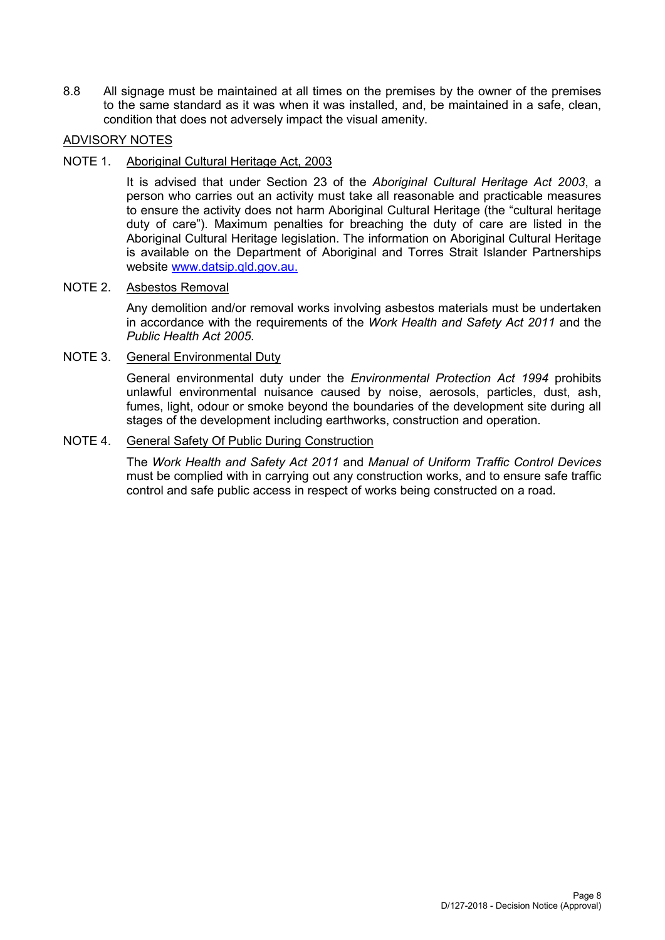8.8 All signage must be maintained at all times on the premises by the owner of the premises to the same standard as it was when it was installed, and, be maintained in a safe, clean, condition that does not adversely impact the visual amenity.

#### ADVISORY NOTES

#### NOTE 1. Aboriginal Cultural Heritage Act, 2003

It is advised that under Section 23 of the *Aboriginal Cultural Heritage Act 2003*, a person who carries out an activity must take all reasonable and practicable measures to ensure the activity does not harm Aboriginal Cultural Heritage (the "cultural heritage duty of care"). Maximum penalties for breaching the duty of care are listed in the Aboriginal Cultural Heritage legislation. The information on Aboriginal Cultural Heritage is available on the Department of Aboriginal and Torres Strait Islander Partnerships website [www.datsip.qld.gov.au.](http://www.datsip.qld.gov.au/)

# NOTE 2. Asbestos Removal

Any demolition and/or removal works involving asbestos materials must be undertaken in accordance with the requirements of the *Work Health and Safety Act 2011* and the *Public Health Act 2005*.

#### NOTE 3. General Environmental Duty

General environmental duty under the *Environmental Protection Act 1994* prohibits unlawful environmental nuisance caused by noise, aerosols, particles, dust, ash, fumes, light, odour or smoke beyond the boundaries of the development site during all stages of the development including earthworks, construction and operation.

#### NOTE 4. General Safety Of Public During Construction

The *Work Health and Safety Act 2011* and *Manual of Uniform Traffic Control Devices* must be complied with in carrying out any construction works, and to ensure safe traffic control and safe public access in respect of works being constructed on a road.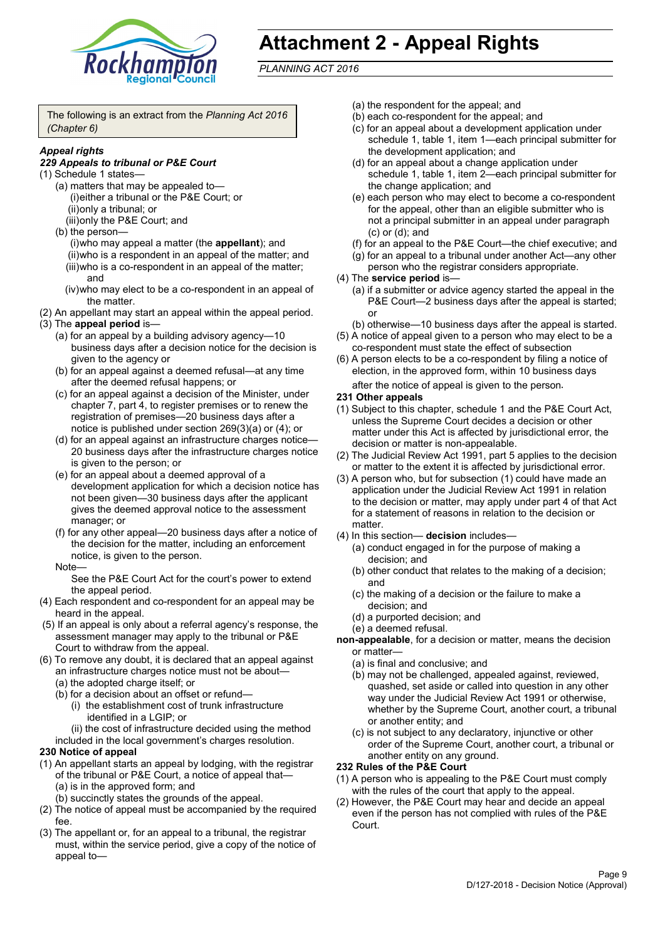

# **Attachment 2 - Appeal Rights**

*PLANNING ACT 2016*

The following is an extract from the *Planning Act 2016 (Chapter 6)*

#### *Appeal rights*

#### *229 Appeals to tribunal or P&E Court*

- (1) Schedule 1 states—
	- (a) matters that may be appealed to— (i)either a tribunal or the P&E Court; or (ii)only a tribunal; or (iii)only the P&E Court; and
	- (b) the person—

(i)who may appeal a matter (the **appellant**); and (ii)who is a respondent in an appeal of the matter; and (iii)who is a co-respondent in an appeal of the matter; and

- (iv)who may elect to be a co-respondent in an appeal of the matter.
- (2) An appellant may start an appeal within the appeal period.
- (3) The **appeal period** is—
	- (a) for an appeal by a building advisory agency—10 business days after a decision notice for the decision is given to the agency or
	- (b) for an appeal against a deemed refusal—at any time after the deemed refusal happens; or
	- (c) for an appeal against a decision of the Minister, under chapter 7, part 4, to register premises or to renew the registration of premises—20 business days after a notice is published under section 269(3)(a) or (4); or
	- (d) for an appeal against an infrastructure charges notice— 20 business days after the infrastructure charges notice is given to the person; or
	- (e) for an appeal about a deemed approval of a development application for which a decision notice has not been given—30 business days after the applicant gives the deemed approval notice to the assessment manager; or
	- (f) for any other appeal—20 business days after a notice of the decision for the matter, including an enforcement notice, is given to the person.

#### Note—

See the P&E Court Act for the court's power to extend the appeal period.

- (4) Each respondent and co-respondent for an appeal may be heard in the appeal.
- (5) If an appeal is only about a referral agency's response, the assessment manager may apply to the tribunal or P&E Court to withdraw from the appeal.
- (6) To remove any doubt, it is declared that an appeal against an infrastructure charges notice must not be about—
	- (a) the adopted charge itself; or
	- (b) for a decision about an offset or refund—
		- (i) the establishment cost of trunk infrastructure identified in a LGIP; or
		- (ii) the cost of infrastructure decided using the method

included in the local government's charges resolution.

- **230 Notice of appeal**
- (1) An appellant starts an appeal by lodging, with the registrar of the tribunal or P&E Court, a notice of appeal that—
	- (a) is in the approved form; and
	- (b) succinctly states the grounds of the appeal.
- (2) The notice of appeal must be accompanied by the required fee.
- (3) The appellant or, for an appeal to a tribunal, the registrar must, within the service period, give a copy of the notice of appeal to—
- (a) the respondent for the appeal; and
- (b) each co-respondent for the appeal; and
- (c) for an appeal about a development application under schedule 1, table 1, item 1—each principal submitter for the development application; and
- (d) for an appeal about a change application under schedule 1, table 1, item 2—each principal submitter for the change application; and
- (e) each person who may elect to become a co-respondent for the appeal, other than an eligible submitter who is not a principal submitter in an appeal under paragraph (c) or (d); and
- (f) for an appeal to the P&E Court—the chief executive; and
- (g) for an appeal to a tribunal under another Act—any other person who the registrar considers appropriate.
- (4) The **service period** is—
	- (a) if a submitter or advice agency started the appeal in the P&E Court—2 business days after the appeal is started; or
	- (b) otherwise—10 business days after the appeal is started.
- (5) A notice of appeal given to a person who may elect to be a co-respondent must state the effect of subsection
- (6) A person elects to be a co-respondent by filing a notice of election, in the approved form, within 10 business days after the notice of appeal is given to the person*.*
- **231 Other appeals**
- (1) Subject to this chapter, schedule 1 and the P&E Court Act, unless the Supreme Court decides a decision or other matter under this Act is affected by jurisdictional error, the decision or matter is non-appealable.
- (2) The Judicial Review Act 1991, part 5 applies to the decision or matter to the extent it is affected by jurisdictional error.
- (3) A person who, but for subsection (1) could have made an application under the Judicial Review Act 1991 in relation to the decision or matter, may apply under part 4 of that Act for a statement of reasons in relation to the decision or matter.
- (4) In this section— **decision** includes—
	- (a) conduct engaged in for the purpose of making a decision; and
	- (b) other conduct that relates to the making of a decision; and
	- (c) the making of a decision or the failure to make a decision; and
	- (d) a purported decision; and
	- (e) a deemed refusal.

**non-appealable**, for a decision or matter, means the decision or matter—

- (a) is final and conclusive; and
- (b) may not be challenged, appealed against, reviewed, quashed, set aside or called into question in any other way under the Judicial Review Act 1991 or otherwise, whether by the Supreme Court, another court, a tribunal or another entity; and
- (c) is not subject to any declaratory, injunctive or other order of the Supreme Court, another court, a tribunal or another entity on any ground.

#### **232 Rules of the P&E Court**

- (1) A person who is appealing to the P&E Court must comply with the rules of the court that apply to the appeal.
- (2) However, the P&E Court may hear and decide an appeal even if the person has not complied with rules of the P&E Court.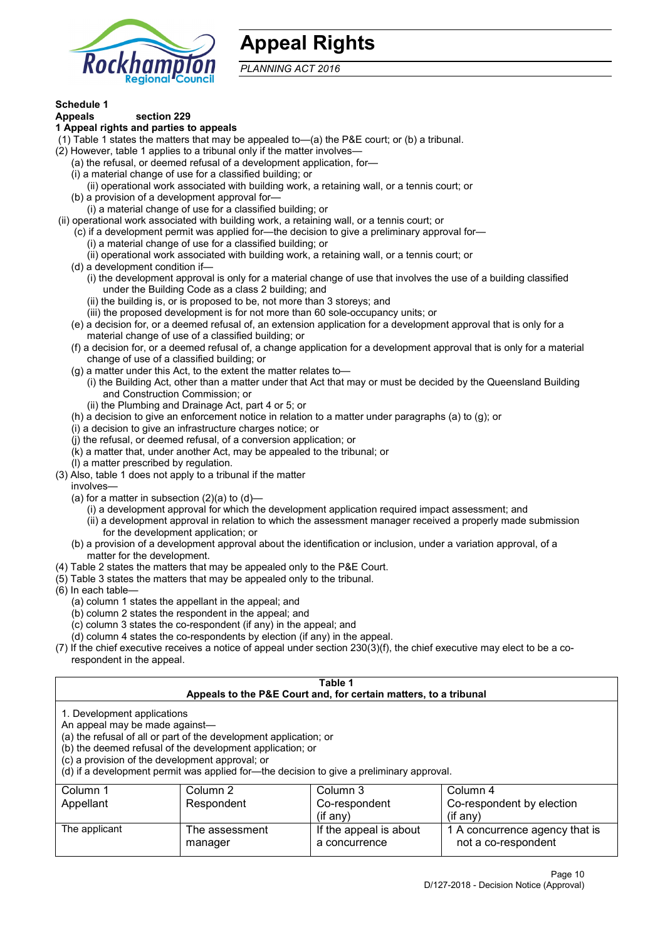

# **Appeal Rights**

*PLANNING ACT 2016*

# **Schedule 1**

#### **Appeals section 229 1 Appeal rights and parties to appeals**

- (1) Table 1 states the matters that may be appealed to—(a) the P&E court; or (b) a tribunal.
- (2) However, table 1 applies to a tribunal only if the matter involves—
	- (a) the refusal, or deemed refusal of a development application, for—
	- (i) a material change of use for a classified building; or
	- (ii) operational work associated with building work, a retaining wall, or a tennis court; or
	- (b) a provision of a development approval for—
	- (i) a material change of use for a classified building; or
- (ii) operational work associated with building work, a retaining wall, or a tennis court; or
	- (c) if a development permit was applied for—the decision to give a preliminary approval for—
		- (i) a material change of use for a classified building; or
	- (ii) operational work associated with building work, a retaining wall, or a tennis court; or
	- (d) a development condition if—
		- (i) the development approval is only for a material change of use that involves the use of a building classified under the Building Code as a class 2 building; and
		- (ii) the building is, or is proposed to be, not more than 3 storeys; and
		- (iii) the proposed development is for not more than 60 sole-occupancy units; or
	- (e) a decision for, or a deemed refusal of, an extension application for a development approval that is only for a material change of use of a classified building; or
	- (f) a decision for, or a deemed refusal of, a change application for a development approval that is only for a material change of use of a classified building; or
	- (g) a matter under this Act, to the extent the matter relates to—
		- (i) the Building Act, other than a matter under that Act that may or must be decided by the Queensland Building and Construction Commission; or
		- (ii) the Plumbing and Drainage Act, part 4 or 5; or
	- (h) a decision to give an enforcement notice in relation to a matter under paragraphs (a) to (g); or
	- (i) a decision to give an infrastructure charges notice; or
	- (j) the refusal, or deemed refusal, of a conversion application; or
	- (k) a matter that, under another Act, may be appealed to the tribunal; or
	- (l) a matter prescribed by regulation.
- (3) Also, table 1 does not apply to a tribunal if the matter

involves—

- (a) for a matter in subsection  $(2)(a)$  to  $(d)$ 
	- (i) a development approval for which the development application required impact assessment; and
	- (ii) a development approval in relation to which the assessment manager received a properly made submission for the development application; or
- (b) a provision of a development approval about the identification or inclusion, under a variation approval, of a matter for the development.
- (4) Table 2 states the matters that may be appealed only to the P&E Court.
- (5) Table 3 states the matters that may be appealed only to the tribunal.
- (6) In each table—
	- (a) column 1 states the appellant in the appeal; and
	- (b) column 2 states the respondent in the appeal; and
	- (c) column 3 states the co-respondent (if any) in the appeal; and
	- (d) column 4 states the co-respondents by election (if any) in the appeal.
- (7) If the chief executive receives a notice of appeal under section 230(3)(f), the chief executive may elect to be a corespondent in the appeal.

| Table 1                                                                                                                                                                                                                                                                                                                                        |                                  |                                                                  |                                                       |  |  |
|------------------------------------------------------------------------------------------------------------------------------------------------------------------------------------------------------------------------------------------------------------------------------------------------------------------------------------------------|----------------------------------|------------------------------------------------------------------|-------------------------------------------------------|--|--|
|                                                                                                                                                                                                                                                                                                                                                |                                  | Appeals to the P&E Court and, for certain matters, to a tribunal |                                                       |  |  |
| 1. Development applications<br>An appeal may be made against-<br>(a) the refusal of all or part of the development application; or<br>(b) the deemed refusal of the development application; or<br>(c) a provision of the development approval; or<br>(d) if a development permit was applied for-the decision to give a preliminary approval. |                                  |                                                                  |                                                       |  |  |
| Column 1                                                                                                                                                                                                                                                                                                                                       | Column 2<br>Column 3<br>Column 4 |                                                                  |                                                       |  |  |
| Appellant                                                                                                                                                                                                                                                                                                                                      | Respondent                       | Co-respondent                                                    | Co-respondent by election                             |  |  |
| $(i$ f any)<br>$(f \text{an} v)$                                                                                                                                                                                                                                                                                                               |                                  |                                                                  |                                                       |  |  |
| The applicant                                                                                                                                                                                                                                                                                                                                  | The assessment<br>manager        | If the appeal is about<br>a concurrence                          | 1 A concurrence agency that is<br>not a co-respondent |  |  |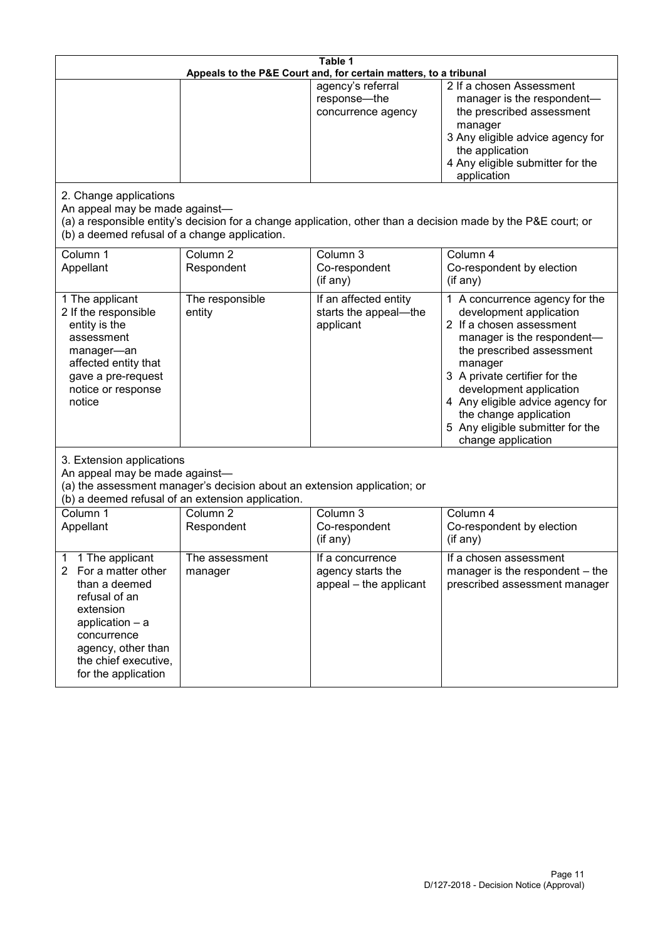| Table 1<br>Appeals to the P&E Court and, for certain matters, to a tribunal                                                                                                                                          |                                   |                                                                 |                                                                                                                                                                                                                                                                                                                                                 |  |
|----------------------------------------------------------------------------------------------------------------------------------------------------------------------------------------------------------------------|-----------------------------------|-----------------------------------------------------------------|-------------------------------------------------------------------------------------------------------------------------------------------------------------------------------------------------------------------------------------------------------------------------------------------------------------------------------------------------|--|
|                                                                                                                                                                                                                      |                                   | agency's referral<br>response-the<br>concurrence agency         | 2 If a chosen Assessment<br>manager is the respondent-<br>the prescribed assessment<br>manager<br>3 Any eligible advice agency for<br>the application<br>4 Any eligible submitter for the<br>application                                                                                                                                        |  |
| 2. Change applications<br>An appeal may be made against-<br>(b) a deemed refusal of a change application.                                                                                                            |                                   |                                                                 | (a) a responsible entity's decision for a change application, other than a decision made by the P&E court; or                                                                                                                                                                                                                                   |  |
| Column 1<br>Appellant                                                                                                                                                                                                | Column <sub>2</sub><br>Respondent | Column 3<br>Co-respondent<br>(if any)                           | Column 4<br>Co-respondent by election<br>(if any)                                                                                                                                                                                                                                                                                               |  |
| 1 The applicant<br>2 If the responsible<br>entity is the<br>assessment<br>manager-an<br>affected entity that<br>gave a pre-request<br>notice or response<br>notice                                                   | The responsible<br>entity         | If an affected entity<br>starts the appeal-the<br>applicant     | 1 A concurrence agency for the<br>development application<br>2 If a chosen assessment<br>manager is the respondent-<br>the prescribed assessment<br>manager<br>3 A private certifier for the<br>development application<br>4 Any eligible advice agency for<br>the change application<br>5 Any eligible submitter for the<br>change application |  |
| 3. Extension applications<br>An appeal may be made against-<br>(a) the assessment manager's decision about an extension application; or<br>(b) a deemed refusal of an extension application.                         |                                   |                                                                 |                                                                                                                                                                                                                                                                                                                                                 |  |
| Column 1<br>Appellant                                                                                                                                                                                                | Column <sub>2</sub><br>Respondent | Column 3<br>Co-respondent<br>(if any)                           | Column 4<br>Co-respondent by election<br>(if any)                                                                                                                                                                                                                                                                                               |  |
| 1 The applicant<br>1<br>$\overline{2}$<br>For a matter other<br>than a deemed<br>refusal of an<br>extension<br>application $-$ a<br>concurrence<br>agency, other than<br>the chief executive,<br>for the application | The assessment<br>manager         | If a concurrence<br>agency starts the<br>appeal - the applicant | If a chosen assessment<br>manager is the respondent – the<br>prescribed assessment manager                                                                                                                                                                                                                                                      |  |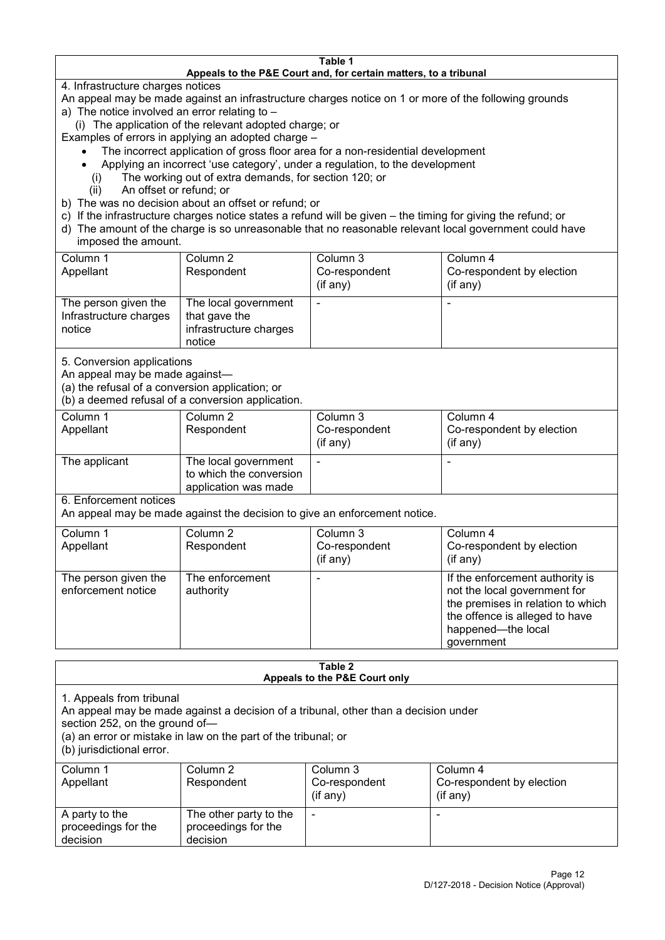#### **Table 1 Appeals to the P&E Court and, for certain matters, to a tribunal**

4. Infrastructure charges notices

- An appeal may be made against an infrastructure charges notice on 1 or more of the following grounds
- a) The notice involved an error relating to
	- (i) The application of the relevant adopted charge; or
- Examples of errors in applying an adopted charge
	- The incorrect application of gross floor area for a non-residential development
	- Applying an incorrect 'use category', under a regulation, to the development
	- (i) The working out of extra demands, for section 120; or
	- (ii) An offset or refund; or
- b) The was no decision about an offset or refund; or
- c) If the infrastructure charges notice states a refund will be given the timing for giving the refund; or
- d) The amount of the charge is so unreasonable that no reasonable relevant local government could have
- imposed the amount.

| Column 1                                                 | Column 2                                                                  | Column 3      | Column 4                  |
|----------------------------------------------------------|---------------------------------------------------------------------------|---------------|---------------------------|
| Appellant                                                | Respondent                                                                | Co-respondent | Co-respondent by election |
|                                                          |                                                                           | (if any)      | (if any)                  |
| The person given the<br>Infrastructure charges<br>notice | The local government<br>that gave the<br>infrastructure charges<br>notice |               | -                         |

5. Conversion applications

An appeal may be made against—

(a) the refusal of a conversion application; or

(b) a deemed refusal of a conversion application.

| Column 1<br>Appellant | Column 2<br>Respondent                                                  | Column 3<br>Co-respondent | Column 4<br>Co-respondent by election |
|-----------------------|-------------------------------------------------------------------------|---------------------------|---------------------------------------|
|                       |                                                                         | $($ if any $)$            | $(if$ any)                            |
| The applicant         | The local government<br>to which the conversion<br>application was made |                           |                                       |

6. Enforcement notices

An appeal may be made against the decision to give an enforcement notice.

| Column 1                                   | Column 2                     | Column 3      | Column 4                                                                                                                                                                   |
|--------------------------------------------|------------------------------|---------------|----------------------------------------------------------------------------------------------------------------------------------------------------------------------------|
| Appellant                                  | Respondent                   | Co-respondent | Co-respondent by election                                                                                                                                                  |
|                                            |                              | (if any)      | (if any)                                                                                                                                                                   |
| The person given the<br>enforcement notice | The enforcement<br>authority |               | If the enforcement authority is<br>not the local government for<br>the premises in relation to which<br>the offence is alleged to have<br>happened-the local<br>government |

#### **Table 2 Appeals to the P&E Court only**

1. Appeals from tribunal

An appeal may be made against a decision of a tribunal, other than a decision under

section 252, on the ground of—

(a) an error or mistake in law on the part of the tribunal; or

(b) jurisdictional error.

| Column 1<br>Appellant                             | Column 2<br>Respondent                                    | Column 3<br>Co-respondent<br>$($ if any $)$ | Column 4<br>Co-respondent by election<br>$($ if any $)$ |
|---------------------------------------------------|-----------------------------------------------------------|---------------------------------------------|---------------------------------------------------------|
| A party to the<br>proceedings for the<br>decision | The other party to the<br>proceedings for the<br>decision | -                                           |                                                         |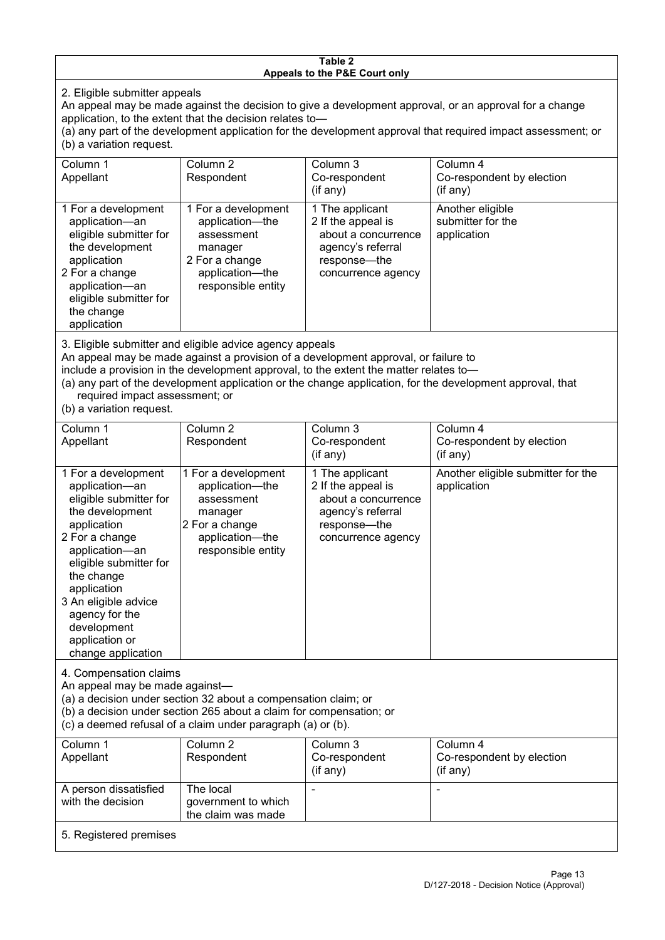#### **Table 2 Appeals to the P&E Court only**

2. Eligible submitter appeals

An appeal may be made against the decision to give a development approval, or an approval for a change application, to the extent that the decision relates to—

(a) any part of the development application for the development approval that required impact assessment; or (b) a variation request.

| Column 1<br>Appellant                                                                                                                                                                                                                                                                                                                                                                  | Column 2<br>Respondent                                                                                                     | Column 3<br>Co-respondent<br>$($ if any $)$                                                                             | Column 4<br>Co-respondent by election<br>(if any)    |  |
|----------------------------------------------------------------------------------------------------------------------------------------------------------------------------------------------------------------------------------------------------------------------------------------------------------------------------------------------------------------------------------------|----------------------------------------------------------------------------------------------------------------------------|-------------------------------------------------------------------------------------------------------------------------|------------------------------------------------------|--|
| 1 For a development<br>application-an<br>eligible submitter for<br>the development<br>application<br>2 For a change<br>application-an<br>eligible submitter for<br>the change<br>application                                                                                                                                                                                           | 1 For a development<br>application-the<br>assessment<br>manager<br>2 For a change<br>application-the<br>responsible entity | 1 The applicant<br>2 If the appeal is<br>about a concurrence<br>agency's referral<br>response-the<br>concurrence agency | Another eligible<br>submitter for the<br>application |  |
| 3. Eligible submitter and eligible advice agency appeals<br>An appeal may be made against a provision of a development approval, or failure to<br>include a provision in the development approval, to the extent the matter relates to-<br>(a) any part of the development application or the change application, for the development approval, that<br>required impact assessment; or |                                                                                                                            |                                                                                                                         |                                                      |  |

(b) a variation request.

| Column 1                                                                                                                                                                                                                                                                                      | Column 2                                                                                                                   | Column 3                                                                                                                | Column 4                                          |
|-----------------------------------------------------------------------------------------------------------------------------------------------------------------------------------------------------------------------------------------------------------------------------------------------|----------------------------------------------------------------------------------------------------------------------------|-------------------------------------------------------------------------------------------------------------------------|---------------------------------------------------|
| Appellant                                                                                                                                                                                                                                                                                     | Respondent                                                                                                                 | Co-respondent                                                                                                           | Co-respondent by election                         |
|                                                                                                                                                                                                                                                                                               |                                                                                                                            | $($ if any $)$                                                                                                          | (if any)                                          |
| 1 For a development<br>application-an<br>eligible submitter for<br>the development<br>application<br>2 For a change<br>application-an<br>eligible submitter for<br>the change<br>application<br>3 An eligible advice<br>agency for the<br>development<br>application or<br>change application | 1 For a development<br>application-the<br>assessment<br>manager<br>2 For a change<br>application-the<br>responsible entity | 1 The applicant<br>2 If the appeal is<br>about a concurrence<br>agency's referral<br>response-the<br>concurrence agency | Another eligible submitter for the<br>application |
| 4. Compensation claims<br>An appeal may be made against-<br>(a) a decision under section 32 about a compensation claim; or<br>(b) a decision under section 265 about a claim for compensation; or<br>(c) a deemed refusal of a claim under paragraph (a) or (b).                              |                                                                                                                            |                                                                                                                         |                                                   |
| Column 1                                                                                                                                                                                                                                                                                      | Column <sub>2</sub>                                                                                                        | Column 3                                                                                                                | Column 4                                          |
| Appellant                                                                                                                                                                                                                                                                                     | Respondent                                                                                                                 | Co-respondent<br>(if any)                                                                                               | Co-respondent by election<br>(if any)             |
| A person dissatisfied                                                                                                                                                                                                                                                                         | The local                                                                                                                  |                                                                                                                         |                                                   |
| with the decision                                                                                                                                                                                                                                                                             | government to which                                                                                                        |                                                                                                                         |                                                   |
|                                                                                                                                                                                                                                                                                               | the claim was made                                                                                                         |                                                                                                                         |                                                   |

5. Registered premises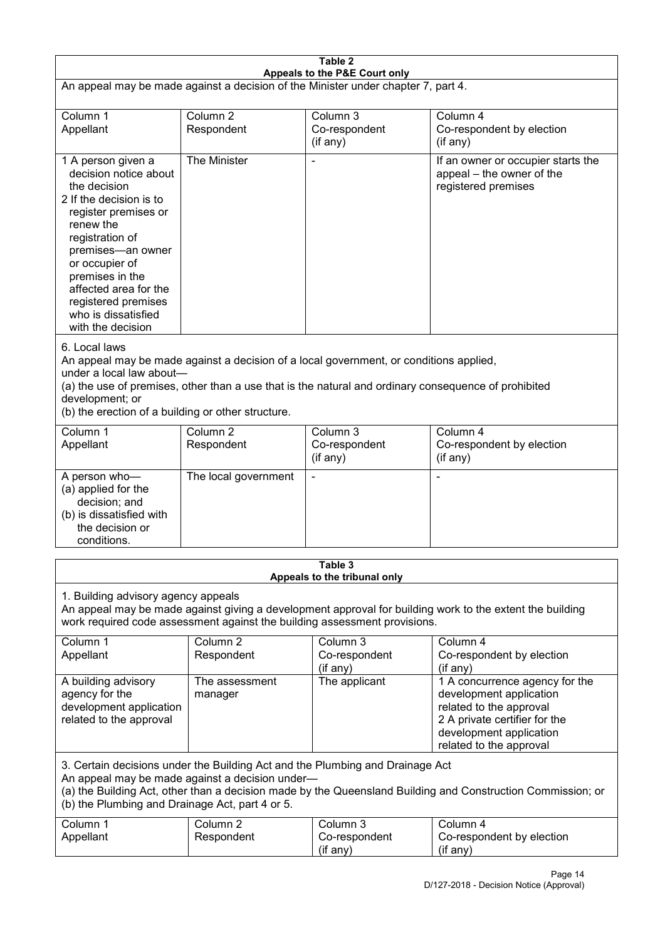| Table 2<br>Appeals to the P&E Court only                                                                                                                                                                                                                                                             |                                                                                                                                                                                                                                                                                  |                                         |                                                                                                                                                                             |  |  |
|------------------------------------------------------------------------------------------------------------------------------------------------------------------------------------------------------------------------------------------------------------------------------------------------------|----------------------------------------------------------------------------------------------------------------------------------------------------------------------------------------------------------------------------------------------------------------------------------|-----------------------------------------|-----------------------------------------------------------------------------------------------------------------------------------------------------------------------------|--|--|
| An appeal may be made against a decision of the Minister under chapter 7, part 4.                                                                                                                                                                                                                    |                                                                                                                                                                                                                                                                                  |                                         |                                                                                                                                                                             |  |  |
| Column 1<br>Appellant                                                                                                                                                                                                                                                                                | Column <sub>2</sub><br>Respondent                                                                                                                                                                                                                                                | Column 3<br>Co-respondent<br>(if any)   | Column 4<br>Co-respondent by election<br>(if any)                                                                                                                           |  |  |
| 1 A person given a<br>decision notice about<br>the decision<br>2 If the decision is to<br>register premises or<br>renew the<br>registration of<br>premises-an owner<br>or occupier of<br>premises in the<br>affected area for the<br>registered premises<br>who is dissatisfied<br>with the decision | The Minister                                                                                                                                                                                                                                                                     |                                         | If an owner or occupier starts the<br>appeal – the owner of the<br>registered premises                                                                                      |  |  |
| 6. Local laws<br>development; or                                                                                                                                                                                                                                                                     | An appeal may be made against a decision of a local government, or conditions applied,<br>under a local law about-<br>(a) the use of premises, other than a use that is the natural and ordinary consequence of prohibited<br>(b) the erection of a building or other structure. |                                         |                                                                                                                                                                             |  |  |
| Column 1<br>Appellant                                                                                                                                                                                                                                                                                | Column <sub>2</sub><br>Respondent                                                                                                                                                                                                                                                | Column 3<br>Co-respondent<br>(if any)   | Column 4<br>Co-respondent by election<br>(if any)                                                                                                                           |  |  |
| A person who-<br>(a) applied for the<br>decision; and<br>(b) is dissatisfied with<br>the decision or<br>conditions.                                                                                                                                                                                  | The local government                                                                                                                                                                                                                                                             |                                         | L,                                                                                                                                                                          |  |  |
|                                                                                                                                                                                                                                                                                                      |                                                                                                                                                                                                                                                                                  | Table 3<br>Appeals to the tribunal only |                                                                                                                                                                             |  |  |
| 1. Building advisory agency appeals<br>An appeal may be made against giving a development approval for building work to the extent the building<br>work required code assessment against the building assessment provisions.                                                                         |                                                                                                                                                                                                                                                                                  |                                         |                                                                                                                                                                             |  |  |
| Column 1<br>Appellant                                                                                                                                                                                                                                                                                | Column <sub>2</sub><br>Respondent                                                                                                                                                                                                                                                | Column 3<br>Co-respondent<br>(if any)   | Column 4<br>Co-respondent by election<br>(if any)                                                                                                                           |  |  |
| A building advisory<br>agency for the<br>development application<br>related to the approval                                                                                                                                                                                                          | The assessment<br>manager                                                                                                                                                                                                                                                        | The applicant                           | 1 A concurrence agency for the<br>development application<br>related to the approval<br>2 A private certifier for the<br>development application<br>related to the approval |  |  |
| 3. Certain decisions under the Building Act and the Plumbing and Drainage Act<br>An appeal may be made against a decision under-<br>(a) the Building Act, other than a decision made by the Queensland Building and Construction Commission; or<br>(b) the Plumbing and Drainage Act, part 4 or 5.   |                                                                                                                                                                                                                                                                                  |                                         |                                                                                                                                                                             |  |  |
| Column 1<br>Appellant                                                                                                                                                                                                                                                                                | Column <sub>2</sub><br>Respondent                                                                                                                                                                                                                                                | Column 3<br>Co-respondent<br>(if any)   | Column 4<br>Co-respondent by election<br>(if any)                                                                                                                           |  |  |